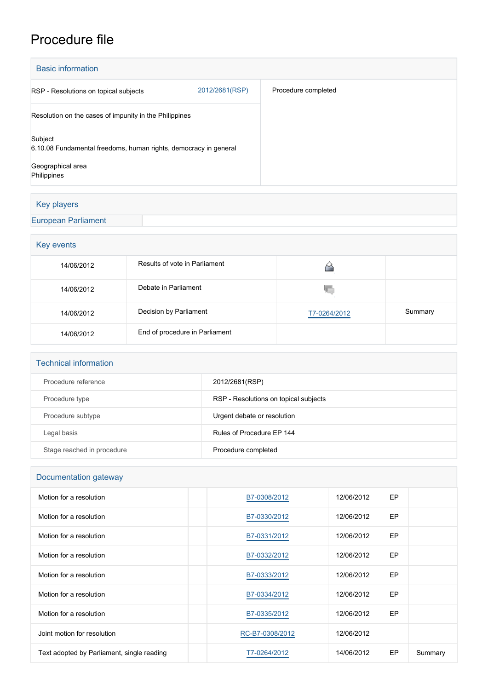## Procedure file

| <b>Basic information</b>                                                                                        |                |                     |  |  |
|-----------------------------------------------------------------------------------------------------------------|----------------|---------------------|--|--|
| RSP - Resolutions on topical subjects                                                                           | 2012/2681(RSP) | Procedure completed |  |  |
| Resolution on the cases of impunity in the Philippines                                                          |                |                     |  |  |
| Subject<br>6.10.08 Fundamental freedoms, human rights, democracy in general<br>Geographical area<br>Philippines |                |                     |  |  |

## Key players

## [European Parliament](http://www.europarl.europa.eu/)

| Key events |                                |              |         |  |  |  |
|------------|--------------------------------|--------------|---------|--|--|--|
| 14/06/2012 | Results of vote in Parliament  |              |         |  |  |  |
| 14/06/2012 | Debate in Parliament           | Y.           |         |  |  |  |
| 14/06/2012 | Decision by Parliament         | T7-0264/2012 | Summary |  |  |  |
| 14/06/2012 | End of procedure in Parliament |              |         |  |  |  |

| <b>Technical information</b> |                                       |
|------------------------------|---------------------------------------|
| Procedure reference          | 2012/2681(RSP)                        |
| Procedure type               | RSP - Resolutions on topical subjects |
| Procedure subtype            | Urgent debate or resolution           |
| Legal basis                  | Rules of Procedure FP 144             |
| Stage reached in procedure   | Procedure completed                   |

| Documentation gateway                      |                 |            |           |         |  |  |
|--------------------------------------------|-----------------|------------|-----------|---------|--|--|
| Motion for a resolution                    | B7-0308/2012    | 12/06/2012 | <b>EP</b> |         |  |  |
| Motion for a resolution                    | B7-0330/2012    | 12/06/2012 | <b>EP</b> |         |  |  |
| Motion for a resolution                    | B7-0331/2012    | 12/06/2012 | <b>EP</b> |         |  |  |
| Motion for a resolution                    | B7-0332/2012    | 12/06/2012 | EP        |         |  |  |
| Motion for a resolution                    | B7-0333/2012    | 12/06/2012 | <b>EP</b> |         |  |  |
| Motion for a resolution                    | B7-0334/2012    | 12/06/2012 | <b>EP</b> |         |  |  |
| Motion for a resolution                    | B7-0335/2012    | 12/06/2012 | <b>EP</b> |         |  |  |
| Joint motion for resolution                | RC-B7-0308/2012 | 12/06/2012 |           |         |  |  |
| Text adopted by Parliament, single reading | T7-0264/2012    | 14/06/2012 | EP        | Summary |  |  |